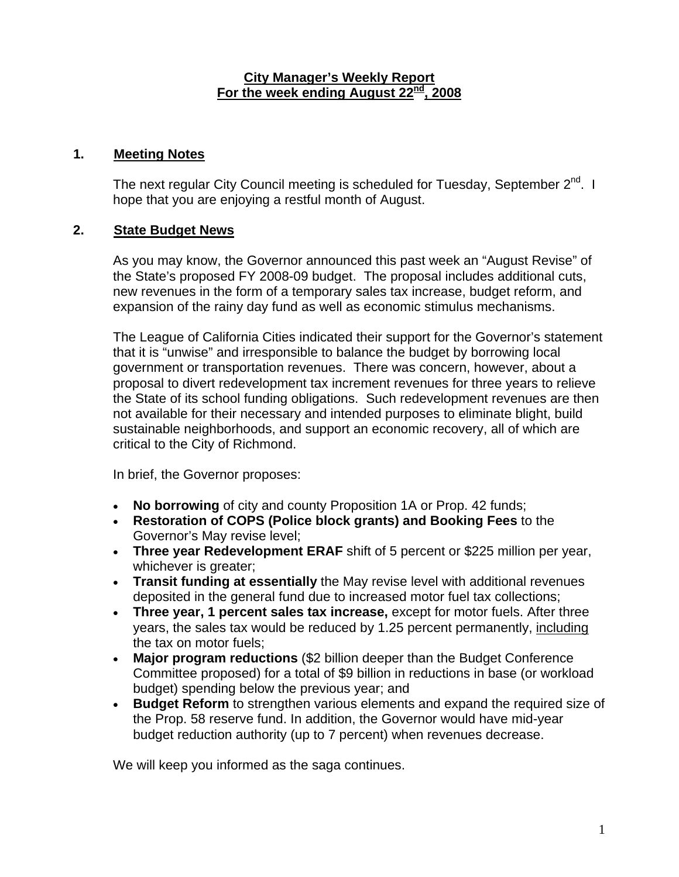#### **City Manager's Weekly Report For the week ending August 22nd, 2008**

#### **1. Meeting Notes**

The next regular City Council meeting is scheduled for Tuesday, September 2<sup>nd</sup>. I hope that you are enjoying a restful month of August.

## **2. State Budget News**

As you may know, the Governor announced this past week an "August Revise" of the State's proposed FY 2008-09 budget. The proposal includes additional cuts, new revenues in the form of a temporary sales tax increase, budget reform, and expansion of the rainy day fund as well as economic stimulus mechanisms.

The League of California Cities indicated their support for the Governor's statement that it is "unwise" and irresponsible to balance the budget by borrowing local government or transportation revenues. There was concern, however, about a proposal to divert redevelopment tax increment revenues for three years to relieve the State of its school funding obligations. Such redevelopment revenues are then not available for their necessary and intended purposes to eliminate blight, build sustainable neighborhoods, and support an economic recovery, all of which are critical to the City of Richmond.

In brief, the Governor proposes:

- **No borrowing** of city and county Proposition 1A or Prop. 42 funds;
- **Restoration of COPS (Police block grants) and Booking Fees** to the Governor's May revise level;
- **Three year Redevelopment ERAF** shift of 5 percent or \$225 million per year, whichever is greater;
- **Transit funding at essentially** the May revise level with additional revenues deposited in the general fund due to increased motor fuel tax collections;
- **Three year, 1 percent sales tax increase,** except for motor fuels. After three years, the sales tax would be reduced by 1.25 percent permanently, including the tax on motor fuels;
- **Major program reductions** (\$2 billion deeper than the Budget Conference Committee proposed) for a total of \$9 billion in reductions in base (or workload budget) spending below the previous year; and
- **Budget Reform** to strengthen various elements and expand the required size of the Prop. 58 reserve fund. In addition, the Governor would have mid-year budget reduction authority (up to 7 percent) when revenues decrease.

We will keep you informed as the saga continues.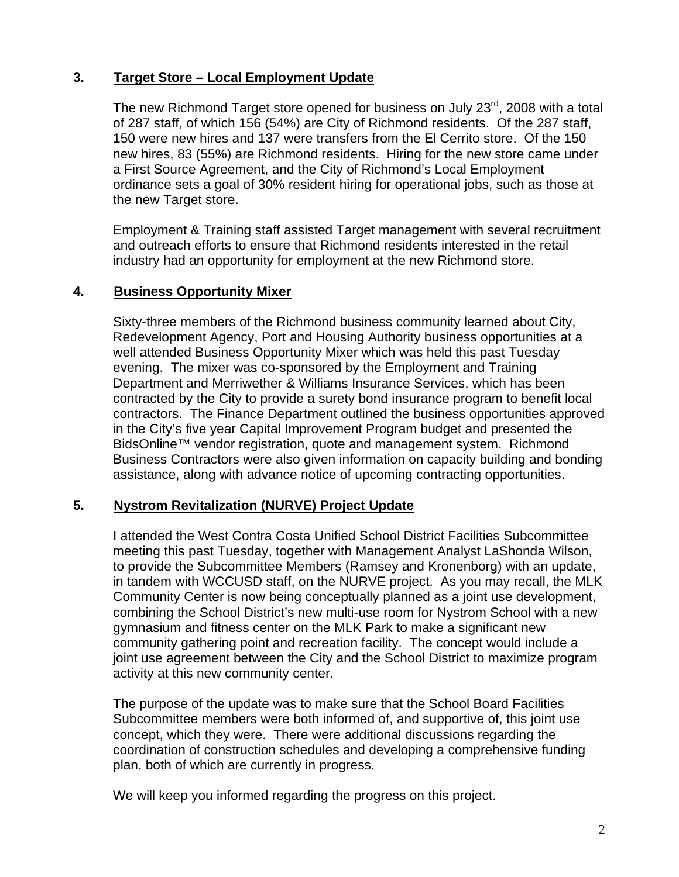# **3. Target Store – Local Employment Update**

The new Richmond Target store opened for business on July 23<sup>rd</sup>, 2008 with a total of 287 staff, of which 156 (54%) are City of Richmond residents. Of the 287 staff, 150 were new hires and 137 were transfers from the El Cerrito store. Of the 150 new hires, 83 (55%) are Richmond residents. Hiring for the new store came under a First Source Agreement, and the City of Richmond's Local Employment ordinance sets a goal of 30% resident hiring for operational jobs, such as those at the new Target store.

Employment & Training staff assisted Target management with several recruitment and outreach efforts to ensure that Richmond residents interested in the retail industry had an opportunity for employment at the new Richmond store.

# **4. Business Opportunity Mixer**

Sixty-three members of the Richmond business community learned about City, Redevelopment Agency, Port and Housing Authority business opportunities at a well attended Business Opportunity Mixer which was held this past Tuesday evening. The mixer was co-sponsored by the Employment and Training Department and Merriwether & Williams Insurance Services, which has been contracted by the City to provide a surety bond insurance program to benefit local contractors. The Finance Department outlined the business opportunities approved in the City's five year Capital Improvement Program budget and presented the BidsOnline™ vendor registration, quote and management system. Richmond Business Contractors were also given information on capacity building and bonding assistance, along with advance notice of upcoming contracting opportunities.

## **5. Nystrom Revitalization (NURVE) Project Update**

I attended the West Contra Costa Unified School District Facilities Subcommittee meeting this past Tuesday, together with Management Analyst LaShonda Wilson, to provide the Subcommittee Members (Ramsey and Kronenborg) with an update, in tandem with WCCUSD staff, on the NURVE project. As you may recall, the MLK Community Center is now being conceptually planned as a joint use development, combining the School District's new multi-use room for Nystrom School with a new gymnasium and fitness center on the MLK Park to make a significant new community gathering point and recreation facility. The concept would include a joint use agreement between the City and the School District to maximize program activity at this new community center.

The purpose of the update was to make sure that the School Board Facilities Subcommittee members were both informed of, and supportive of, this joint use concept, which they were. There were additional discussions regarding the coordination of construction schedules and developing a comprehensive funding plan, both of which are currently in progress.

We will keep you informed regarding the progress on this project.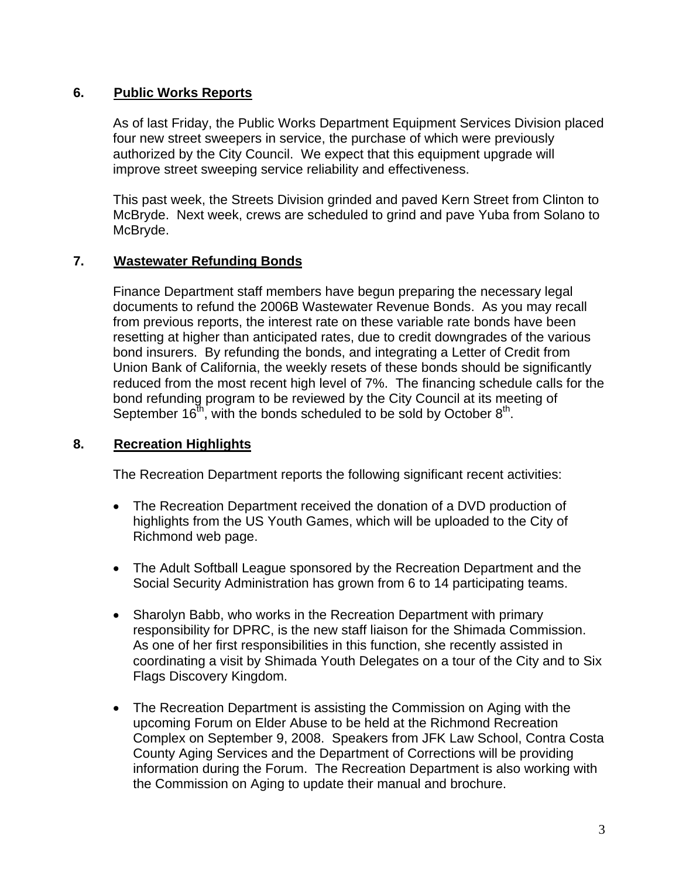## **6. Public Works Reports**

As of last Friday, the Public Works Department Equipment Services Division placed four new street sweepers in service, the purchase of which were previously authorized by the City Council. We expect that this equipment upgrade will improve street sweeping service reliability and effectiveness.

This past week, the Streets Division grinded and paved Kern Street from Clinton to McBryde. Next week, crews are scheduled to grind and pave Yuba from Solano to McBryde.

### **7. Wastewater Refunding Bonds**

Finance Department staff members have begun preparing the necessary legal documents to refund the 2006B Wastewater Revenue Bonds. As you may recall from previous reports, the interest rate on these variable rate bonds have been resetting at higher than anticipated rates, due to credit downgrades of the various bond insurers. By refunding the bonds, and integrating a Letter of Credit from Union Bank of California, the weekly resets of these bonds should be significantly reduced from the most recent high level of 7%. The financing schedule calls for the bond refunding program to be reviewed by the City Council at its meeting of September  $16<sup>th</sup>$ , with the bonds scheduled to be sold by October  $8<sup>th</sup>$ .

#### **8. Recreation Highlights**

The Recreation Department reports the following significant recent activities:

- The Recreation Department received the donation of a DVD production of highlights from the US Youth Games, which will be uploaded to the City of Richmond web page.
- The Adult Softball League sponsored by the Recreation Department and the Social Security Administration has grown from 6 to 14 participating teams.
- Sharolyn Babb, who works in the Recreation Department with primary responsibility for DPRC, is the new staff liaison for the Shimada Commission. As one of her first responsibilities in this function, she recently assisted in coordinating a visit by Shimada Youth Delegates on a tour of the City and to Six Flags Discovery Kingdom.
- The Recreation Department is assisting the Commission on Aging with the upcoming Forum on Elder Abuse to be held at the Richmond Recreation Complex on September 9, 2008. Speakers from JFK Law School, Contra Costa County Aging Services and the Department of Corrections will be providing information during the Forum. The Recreation Department is also working with the Commission on Aging to update their manual and brochure.